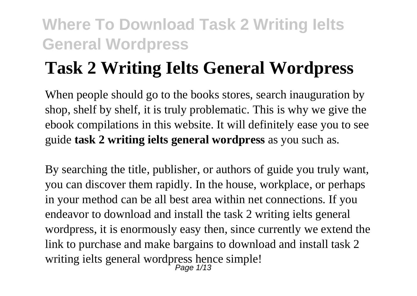# **Task 2 Writing Ielts General Wordpress**

When people should go to the books stores, search inauguration by shop, shelf by shelf, it is truly problematic. This is why we give the ebook compilations in this website. It will definitely ease you to see guide **task 2 writing ielts general wordpress** as you such as.

By searching the title, publisher, or authors of guide you truly want, you can discover them rapidly. In the house, workplace, or perhaps in your method can be all best area within net connections. If you endeavor to download and install the task 2 writing ielts general wordpress, it is enormously easy then, since currently we extend the link to purchase and make bargains to download and install task 2 writing ielts general wordpress hence simple! Page 1/13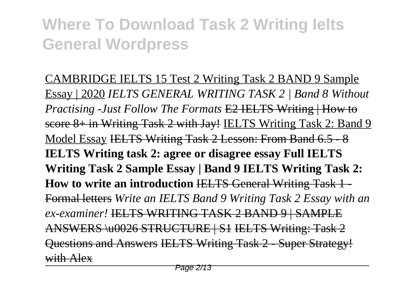CAMBRIDGE IELTS 15 Test 2 Writing Task 2 BAND 9 Sample Essay | 2020 *IELTS GENERAL WRITING TASK 2 | Band 8 Without Practising -Just Follow The Formats* E2 IELTS Writing | How to score 8+ in Writing Task 2 with Jay! IELTS Writing Task 2: Band 9 Model Essay IELTS Writing Task 2 Lesson: From Band 6.5 - 8 **IELTS Writing task 2: agree or disagree essay Full IELTS Writing Task 2 Sample Essay | Band 9 IELTS Writing Task 2: How to write an introduction IELTS General Writing Task 1-**Formal letters *Write an IELTS Band 9 Writing Task 2 Essay with an ex-examiner!* IELTS WRITING TASK 2 BAND 9 | SAMPLE ANSWERS \u0026 STRUCTURE | S1 IELTS Writing: Task 2 Questions and Answers IELTS Writing Task 2 - Super Strategy! with Alex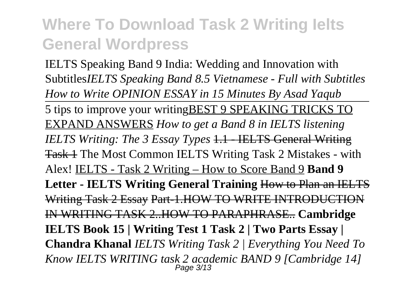IELTS Speaking Band 9 India: Wedding and Innovation with Subtitles*IELTS Speaking Band 8.5 Vietnamese - Full with Subtitles How to Write OPINION ESSAY in 15 Minutes By Asad Yaqub* 5 tips to improve your writingBEST 9 SPEAKING TRICKS TO EXPAND ANSWERS *How to get a Band 8 in IELTS listening IELTS Writing: The 3 Essay Types* 1.1 - IELTS General Writing Task 1 The Most Common IELTS Writing Task 2 Mistakes - with Alex! IELTS - Task 2 Writing – How to Score Band 9 **Band 9 Letter - IELTS Writing General Training** How to Plan an IELTS Writing Task 2 Essay Part-1.HOW TO WRITE INTRODUCTION IN WRITING TASK 2..HOW TO PARAPHRASE.. **Cambridge IELTS Book 15 | Writing Test 1 Task 2 | Two Parts Essay | Chandra Khanal** *IELTS Writing Task 2 | Everything You Need To Know IELTS WRITING task 2 academic BAND 9 [Cambridge 14]* Page 3/13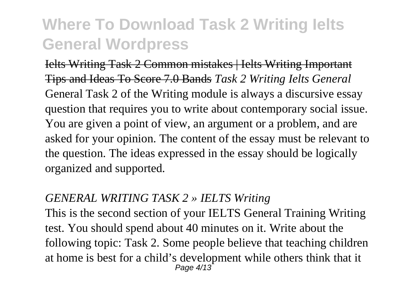Ielts Writing Task 2 Common mistakes | Ielts Writing Important Tips and Ideas To Score 7.0 Bands *Task 2 Writing Ielts General* General Task 2 of the Writing module is always a discursive essay question that requires you to write about contemporary social issue. You are given a point of view, an argument or a problem, and are asked for your opinion. The content of the essay must be relevant to the question. The ideas expressed in the essay should be logically organized and supported.

#### *GENERAL WRITING TASK 2 » IELTS Writing*

This is the second section of your IELTS General Training Writing test. You should spend about 40 minutes on it. Write about the following topic: Task 2. Some people believe that teaching children at home is best for a child's development while others think that it Page 4/13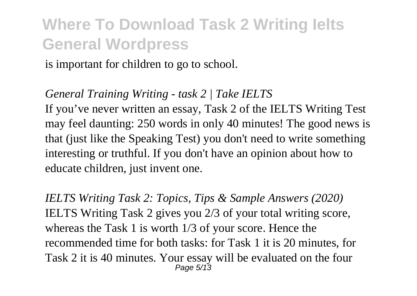is important for children to go to school.

#### *General Training Writing - task 2 | Take IELTS*

If you've never written an essay, Task 2 of the IELTS Writing Test may feel daunting: 250 words in only 40 minutes! The good news is that (just like the Speaking Test) you don't need to write something interesting or truthful. If you don't have an opinion about how to educate children, just invent one.

*IELTS Writing Task 2: Topics, Tips & Sample Answers (2020)* IELTS Writing Task 2 gives you 2/3 of your total writing score, whereas the Task 1 is worth 1/3 of your score. Hence the recommended time for both tasks: for Task 1 it is 20 minutes, for Task 2 it is 40 minutes. Your essay will be evaluated on the four Page 5/13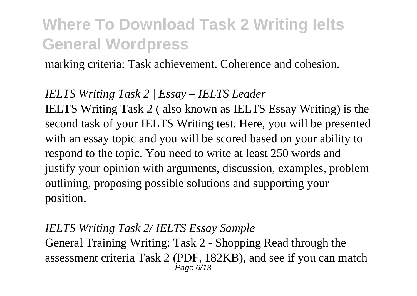marking criteria: Task achievement. Coherence and cohesion.

#### *IELTS Writing Task 2 | Essay – IELTS Leader*

IELTS Writing Task 2 ( also known as IELTS Essay Writing) is the second task of your IELTS Writing test. Here, you will be presented with an essay topic and you will be scored based on your ability to respond to the topic. You need to write at least 250 words and justify your opinion with arguments, discussion, examples, problem outlining, proposing possible solutions and supporting your position.

#### *IELTS Writing Task 2/ IELTS Essay Sample*

General Training Writing: Task 2 - Shopping Read through the assessment criteria Task 2 (PDF, 182KB), and see if you can match Page 6/13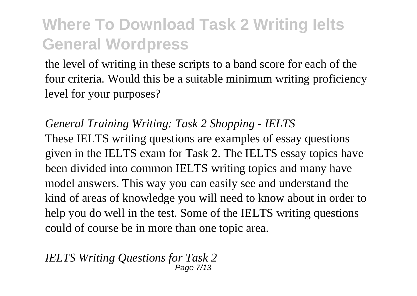the level of writing in these scripts to a band score for each of the four criteria. Would this be a suitable minimum writing proficiency level for your purposes?

*General Training Writing: Task 2 Shopping - IELTS* These IELTS writing questions are examples of essay questions given in the IELTS exam for Task 2. The IELTS essay topics have been divided into common IELTS writing topics and many have model answers. This way you can easily see and understand the kind of areas of knowledge you will need to know about in order to help you do well in the test. Some of the IELTS writing questions could of course be in more than one topic area.

*IELTS Writing Questions for Task 2* Page 7/13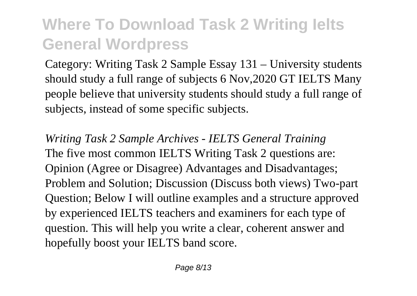Category: Writing Task 2 Sample Essay 131 – University students should study a full range of subjects 6 Nov,2020 GT IELTS Many people believe that university students should study a full range of subjects, instead of some specific subjects.

*Writing Task 2 Sample Archives - IELTS General Training* The five most common IELTS Writing Task 2 questions are: Opinion (Agree or Disagree) Advantages and Disadvantages; Problem and Solution; Discussion (Discuss both views) Two-part Question; Below I will outline examples and a structure approved by experienced IELTS teachers and examiners for each type of question. This will help you write a clear, coherent answer and hopefully boost your IELTS band score.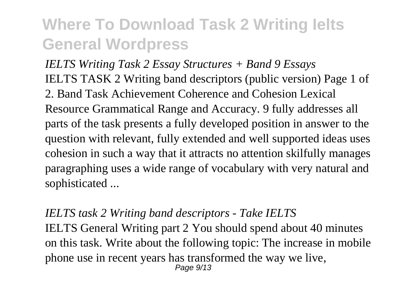*IELTS Writing Task 2 Essay Structures + Band 9 Essays* IELTS TASK 2 Writing band descriptors (public version) Page 1 of 2. Band Task Achievement Coherence and Cohesion Lexical Resource Grammatical Range and Accuracy. 9 fully addresses all parts of the task presents a fully developed position in answer to the question with relevant, fully extended and well supported ideas uses cohesion in such a way that it attracts no attention skilfully manages paragraphing uses a wide range of vocabulary with very natural and sophisticated ...

#### *IELTS task 2 Writing band descriptors - Take IELTS*

IELTS General Writing part 2 You should spend about 40 minutes on this task. Write about the following topic: The increase in mobile phone use in recent years has transformed the way we live, Page  $9/13$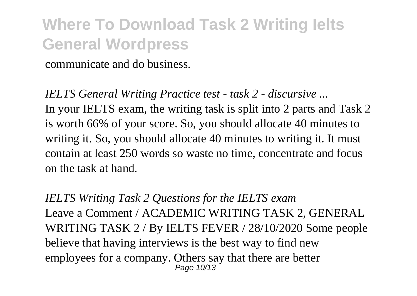communicate and do business.

*IELTS General Writing Practice test - task 2 - discursive ...* In your IELTS exam, the writing task is split into 2 parts and Task 2 is worth 66% of your score. So, you should allocate 40 minutes to writing it. So, you should allocate 40 minutes to writing it. It must contain at least 250 words so waste no time, concentrate and focus on the task at hand.

*IELTS Writing Task 2 Questions for the IELTS exam* Leave a Comment / ACADEMIC WRITING TASK 2, GENERAL WRITING TASK 2 / By IELTS FEVER / 28/10/2020 Some people believe that having interviews is the best way to find new employees for a company. Others say that there are better Page 10/13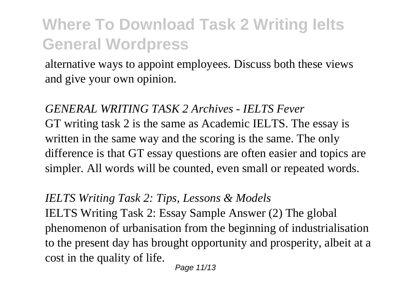alternative ways to appoint employees. Discuss both these views and give your own opinion.

*GENERAL WRITING TASK 2 Archives - IELTS Fever* GT writing task 2 is the same as Academic IELTS. The essay is written in the same way and the scoring is the same. The only difference is that GT essay questions are often easier and topics are simpler. All words will be counted, even small or repeated words.

#### *IELTS Writing Task 2: Tips, Lessons & Models*

IELTS Writing Task 2: Essay Sample Answer (2) The global phenomenon of urbanisation from the beginning of industrialisation to the present day has brought opportunity and prosperity, albeit at a cost in the quality of life.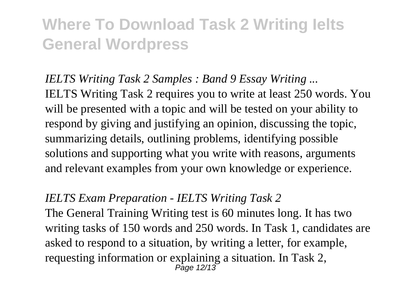*IELTS Writing Task 2 Samples : Band 9 Essay Writing ...* IELTS Writing Task 2 requires you to write at least 250 words. You will be presented with a topic and will be tested on your ability to respond by giving and justifying an opinion, discussing the topic, summarizing details, outlining problems, identifying possible solutions and supporting what you write with reasons, arguments and relevant examples from your own knowledge or experience.

#### *IELTS Exam Preparation - IELTS Writing Task 2*

The General Training Writing test is 60 minutes long. It has two writing tasks of 150 words and 250 words. In Task 1, candidates are asked to respond to a situation, by writing a letter, for example, requesting information or explaining a situation. In Task 2, Page 12/13